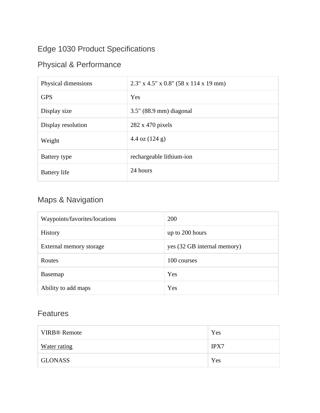## Edge 1030 Product Specifications

## Physical & Performance

| Physical dimensions | $2.3''$ x 4.5" x 0.8" (58 x 114 x 19 mm) |
|---------------------|------------------------------------------|
| <b>GPS</b>          | Yes                                      |
| Display size        | $3.5$ " (88.9 mm) diagonal               |
| Display resolution  | $282 \times 470$ pixels                  |
| Weight              | 4.4 oz $(124 g)$                         |
| Battery type        | rechargeable lithium-ion                 |
| <b>Battery</b> life | 24 hours                                 |

## Maps & Navigation

| Waypoints/favorites/locations | 200                         |
|-------------------------------|-----------------------------|
| History                       | up to 200 hours             |
| External memory storage       | yes (32 GB internal memory) |
| Routes                        | 100 courses                 |
| Basemap                       | Yes                         |
| Ability to add maps           | Yes                         |

## Features

| <b>VIRB<sup>®</sup></b> Remote | Yes         |
|--------------------------------|-------------|
| <b>Water rating</b>            | <b>IPX7</b> |
| <b>GLONASS</b>                 | Yes         |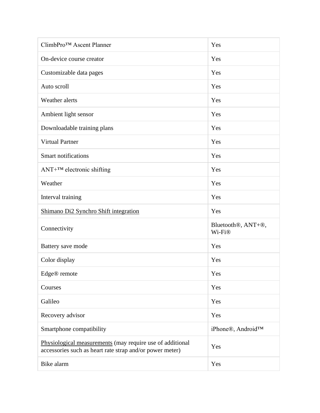| ClimbPro™ Ascent Planner                                                                                              | Yes                                                    |
|-----------------------------------------------------------------------------------------------------------------------|--------------------------------------------------------|
| On-device course creator                                                                                              | Yes                                                    |
| Customizable data pages                                                                                               | Yes                                                    |
| Auto scroll                                                                                                           | Yes                                                    |
| Weather alerts                                                                                                        | Yes                                                    |
| Ambient light sensor                                                                                                  | Yes                                                    |
| Downloadable training plans                                                                                           | Yes                                                    |
| <b>Virtual Partner</b>                                                                                                | Yes                                                    |
| <b>Smart notifications</b>                                                                                            | Yes                                                    |
| $ANT+^{TM}$ electronic shifting                                                                                       | Yes                                                    |
| Weather                                                                                                               | Yes                                                    |
| Interval training                                                                                                     | Yes                                                    |
| Shimano Di2 Synchro Shift integration                                                                                 | Yes                                                    |
| Connectivity                                                                                                          | Bluetooth <sup>®</sup> , ANT+ <sup>®</sup> ,<br>Wi-Fi® |
| Battery save mode                                                                                                     | Yes                                                    |
| Color display                                                                                                         | Yes                                                    |
| Edge® remote                                                                                                          | Yes                                                    |
| Courses                                                                                                               |                                                        |
|                                                                                                                       | Yes                                                    |
| Galileo                                                                                                               | Yes                                                    |
| Recovery advisor                                                                                                      | Yes                                                    |
| Smartphone compatibility                                                                                              | iPhone®, Android™                                      |
| Physiological measurements (may require use of additional<br>accessories such as heart rate strap and/or power meter) | Yes                                                    |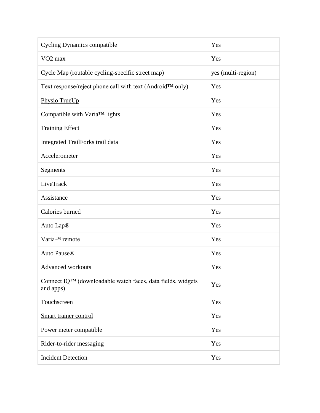| <b>Cycling Dynamics compatible</b>                                                    | Yes                |
|---------------------------------------------------------------------------------------|--------------------|
| VO <sub>2</sub> max                                                                   | Yes                |
| Cycle Map (routable cycling-specific street map)                                      | yes (multi-region) |
| Text response/reject phone call with text (Android™ only)                             | Yes                |
| Physio TrueUp                                                                         | Yes                |
| Compatible with Varia™ lights                                                         | Yes                |
| <b>Training Effect</b>                                                                | Yes                |
| Integrated TrailForks trail data                                                      | Yes                |
| Accelerometer                                                                         | Yes                |
| Segments                                                                              | Yes                |
| LiveTrack                                                                             | Yes                |
| Assistance                                                                            | Yes                |
| Calories burned                                                                       | Yes                |
| Auto Lap <sup>®</sup>                                                                 | Yes                |
| Varia™ remote                                                                         | Yes                |
| Auto Pause®                                                                           | Yes                |
| Advanced workouts                                                                     | Yes                |
| Connect IQ <sup>TM</sup> (downloadable watch faces, data fields, widgets<br>and apps) | Yes                |
| Touchscreen                                                                           | Yes                |
| Smart trainer control                                                                 | Yes                |
| Power meter compatible                                                                | Yes                |
| Rider-to-rider messaging                                                              | Yes                |
| <b>Incident Detection</b>                                                             | Yes                |